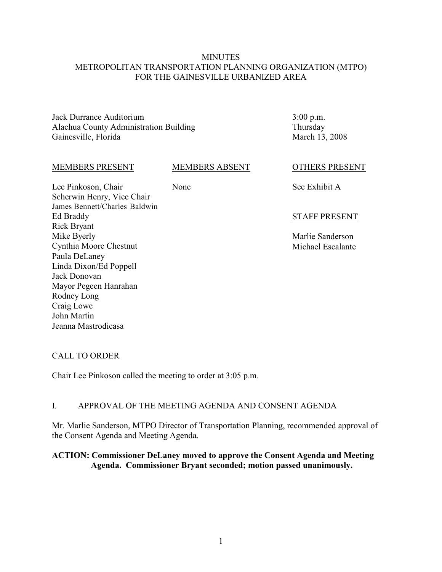# **MINUTES** METROPOLITAN TRANSPORTATION PLANNING ORGANIZATION (MTPO) FOR THE GAINESVILLE URBANIZED AREA

Jack Durrance Auditorium Alachua County Administration Building Gainesville, Florida

3:00 p.m. Thursday March 13, 2008

#### MEMBERS PRESENT

### MEMBERS ABSENT

None

Lee Pinkoson, Chair Scherwin Henry, Vice Chair James Bennett/Charles Baldwin Ed Braddy Rick Bryant Mike Byerly Cynthia Moore Chestnut Paula DeLaney Linda Dixon/Ed Poppell Jack Donovan Mayor Pegeen Hanrahan Rodney Long Craig Lowe John Martin Jeanna Mastrodicasa

OTHERS PRESENT

See Exhibit A

# STAFF PRESENT

Marlie Sanderson Michael Escalante

# CALL TO ORDER

Chair Lee Pinkoson called the meeting to order at 3:05 p.m.

# I. APPROVAL OF THE MEETING AGENDA AND CONSENT AGENDA

Mr. Marlie Sanderson, MTPO Director of Transportation Planning, recommended approval of the Consent Agenda and Meeting Agenda.

# **ACTION: Commissioner DeLaney moved to approve the Consent Agenda and Meeting Agenda. Commissioner Bryant seconded; motion passed unanimously.**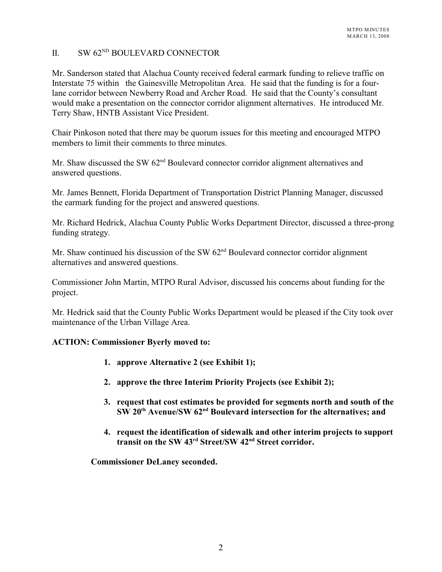# $I = SW 62<sup>ND</sup>$  BOULEVARD CONNECTOR

Mr. Sanderson stated that Alachua County received federal earmark funding to relieve traffic on Interstate 75 within the Gainesville Metropolitan Area. He said that the funding is for a fourlane corridor between Newberry Road and Archer Road. He said that the County's consultant would make a presentation on the connector corridor alignment alternatives. He introduced Mr. Terry Shaw, HNTB Assistant Vice President.

Chair Pinkoson noted that there may be quorum issues for this meeting and encouraged MTPO members to limit their comments to three minutes.

Mr. Shaw discussed the SW  $62<sup>nd</sup>$  Boulevard connector corridor alignment alternatives and answered questions.

Mr. James Bennett, Florida Department of Transportation District Planning Manager, discussed the earmark funding for the project and answered questions.

Mr. Richard Hedrick, Alachua County Public Works Department Director, discussed a three-prong funding strategy.

Mr. Shaw continued his discussion of the SW  $62<sup>nd</sup>$  Boulevard connector corridor alignment alternatives and answered questions.

Commissioner John Martin, MTPO Rural Advisor, discussed his concerns about funding for the project.

Mr. Hedrick said that the County Public Works Department would be pleased if the City took over maintenance of the Urban Village Area.

# **ACTION: Commissioner Byerly moved to:**

- **1. approve Alternative 2 (see Exhibit 1);**
- **2. approve the three Interim Priority Projects (see Exhibit 2);**
- **3. request that cost estimates be provided for segments north and south of the SW 20<sup>th</sup> Avenue/SW 62<sup>nd</sup> Boulevard intersection for the alternatives; and**
- **4. request the identification of sidewalk and other interim projects to support** transit on the SW 43<sup>rd</sup> Street/SW 42<sup>nd</sup> Street corridor.

**Commissioner DeLaney seconded.**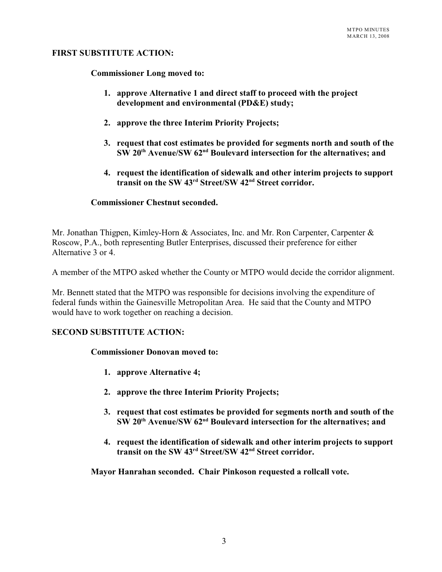# **FIRST SUBSTITUTE ACTION:**

**Commissioner Long moved to:**

- **1. approve Alternative 1 and direct staff to proceed with the project development and environmental (PD&E) study;**
- **2. approve the three Interim Priority Projects;**
- **3. request that cost estimates be provided for segments north and south of the**  $\mathbf{S}\mathbf{W}$  20<sup>th</sup> Avenue/ $\mathbf{S}\mathbf{W}$  62<sup>nd</sup> Boulevard intersection for the alternatives: and
- **4. request the identification of sidewalk and other interim projects to support** transit on the SW 43<sup>rd</sup> Street/SW 42<sup>nd</sup> Street corridor.

### **Commissioner Chestnut seconded.**

Mr. Jonathan Thigpen, Kimley-Horn & Associates, Inc. and Mr. Ron Carpenter, Carpenter & Roscow, P.A., both representing Butler Enterprises, discussed their preference for either Alternative 3 or 4.

A member of the MTPO asked whether the County or MTPO would decide the corridor alignment.

Mr. Bennett stated that the MTPO was responsible for decisions involving the expenditure of federal funds within the Gainesville Metropolitan Area. He said that the County and MTPO would have to work together on reaching a decision.

# **SECOND SUBSTITUTE ACTION:**

#### **Commissioner Donovan moved to:**

- **1. approve Alternative 4;**
- **2. approve the three Interim Priority Projects;**
- **3. request that cost estimates be provided for segments north and south of the SW** 20<sup>th</sup> Avenue/SW 62<sup>nd</sup> Boulevard intersection for the alternatives; and
- **4. request the identification of sidewalk and other interim projects to support transit on the SW 43<sup>rd</sup> Street/SW 42<sup>nd</sup> Street corridor.**

**Mayor Hanrahan seconded. Chair Pinkoson requested a rollcall vote.**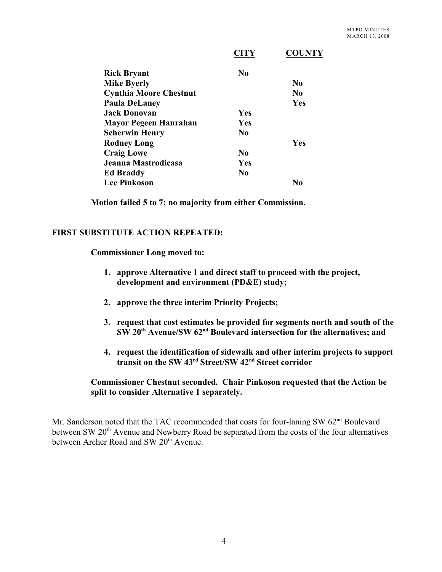|                               | <b>CITY</b>    | <b>COUNTY</b>  |
|-------------------------------|----------------|----------------|
| <b>Rick Bryant</b>            | $\bf No$       |                |
| <b>Mike Byerly</b>            |                | N <sub>0</sub> |
| <b>Cynthia Moore Chestnut</b> |                | N <sub>0</sub> |
| <b>Paula DeLaney</b>          |                | Yes            |
| <b>Jack Donovan</b>           | Yes            |                |
| <b>Mayor Pegeen Hanrahan</b>  | Yes            |                |
| <b>Scherwin Henry</b>         | N <sub>0</sub> |                |
| <b>Rodney Long</b>            |                | Yes            |
| <b>Craig Lowe</b>             | $\bf No$       |                |
| Jeanna Mastrodicasa           | Yes            |                |
| <b>Ed Braddy</b>              | N <sub>0</sub> |                |
| <b>Lee Pinkoson</b>           |                | No             |

**Motion failed 5 to 7; no majority from either Commission.**

# **FIRST SUBSTITUTE ACTION REPEATED:**

**Commissioner Long moved to:**

- **1. approve Alternative 1 and direct staff to proceed with the project, development and environment (PD&E) study;**
- **2. approve the three interim Priority Projects;**
- **3. request that cost estimates be provided for segments north and south of the SW** 20<sup>th</sup> Avenue/SW 62<sup>nd</sup> Boulevard intersection for the alternatives; and
- **4. request the identification of sidewalk and other interim projects to support** transit on the SW 43<sup>rd</sup> Street/SW 42<sup>nd</sup> Street corridor

# **Commissioner Chestnut seconded. Chair Pinkoson requested that the Action be split to consider Alternative 1 separately.**

Mr. Sanderson noted that the TAC recommended that costs for four-laning SW 62<sup>nd</sup> Boulevard between SW 20<sup>th</sup> Avenue and Newberry Road be separated from the costs of the four alternatives between Archer Road and SW 20<sup>th</sup> Avenue.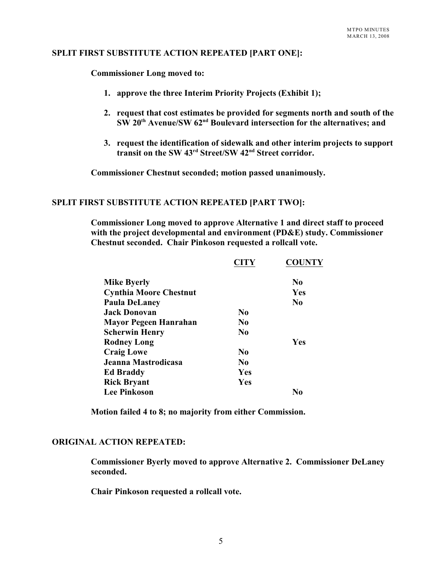# **SPLIT FIRST SUBSTITUTE ACTION REPEATED [PART ONE]:**

**Commissioner Long moved to:**

- **1. approve the three Interim Priority Projects (Exhibit 1);**
- **2. request that cost estimates be provided for segments north and south of the SW 20<sup>th</sup> Avenue/SW 62<sup>nd</sup> Boulevard intersection for the alternatives; and**
- **3. request the identification of sidewalk and other interim projects to support transit on the SW 43<sup>rd</sup> Street/SW 42<sup>nd</sup> Street corridor.**

**Commissioner Chestnut seconded; motion passed unanimously.**

## **SPLIT FIRST SUBSTITUTE ACTION REPEATED [PART TWO]:**

**Commissioner Long moved to approve Alternative 1 and direct staff to proceed with the project developmental and environment (PD&E) study. Commissioner Chestnut seconded. Chair Pinkoson requested a rollcall vote.**

|                               | <b>CITY</b>    | <b>COUNTY</b> |
|-------------------------------|----------------|---------------|
| <b>Mike Byerly</b>            |                | $\bf No$      |
| <b>Cynthia Moore Chestnut</b> |                | Yes           |
| <b>Paula DeLaney</b>          |                | $\bf No$      |
| <b>Jack Donovan</b>           | N <sub>0</sub> |               |
| <b>Mayor Pegeen Hanrahan</b>  | N <sub>0</sub> |               |
| <b>Scherwin Henry</b>         | N <sub>0</sub> |               |
| <b>Rodney Long</b>            |                | Yes           |
| <b>Craig Lowe</b>             | N <sub>0</sub> |               |
| Jeanna Mastrodicasa           | No             |               |
| <b>Ed Braddy</b>              | Yes            |               |
| <b>Rick Bryant</b>            | Yes            |               |
| <b>Lee Pinkoson</b>           |                | No            |

**Motion failed 4 to 8; no majority from either Commission.**

#### **ORIGINAL ACTION REPEATED:**

**Commissioner Byerly moved to approve Alternative 2. Commissioner DeLaney seconded.** 

**Chair Pinkoson requested a rollcall vote.**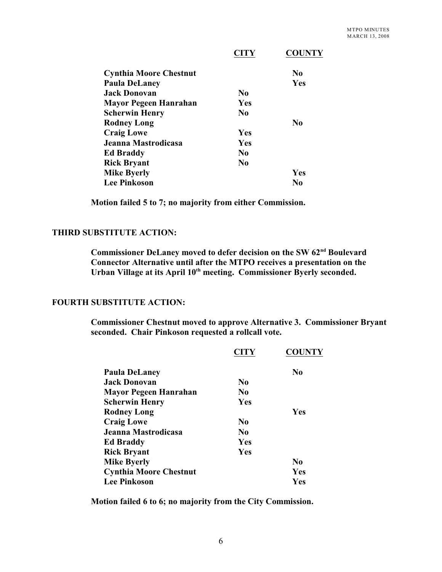|                               | <b>CITY</b>    | <b>COUNTY</b>  |
|-------------------------------|----------------|----------------|
| <b>Cynthia Moore Chestnut</b> |                | N <sub>0</sub> |
| <b>Paula DeLaney</b>          |                | Yes            |
| <b>Jack Donovan</b>           | N <sub>0</sub> |                |
| <b>Mayor Pegeen Hanrahan</b>  | Yes            |                |
| <b>Scherwin Henry</b>         | N <sub>0</sub> |                |
| <b>Rodney Long</b>            |                | No             |
| <b>Craig Lowe</b>             | <b>Yes</b>     |                |
| Jeanna Mastrodicasa           | <b>Yes</b>     |                |
| <b>Ed Braddy</b>              | N <sub>0</sub> |                |
| <b>Rick Bryant</b>            | $\bf No$       |                |
| <b>Mike Byerly</b>            |                | Yes            |
| <b>Lee Pinkoson</b>           |                | No             |

**Motion failed 5 to 7; no majority from either Commission.**

# **THIRD SUBSTITUTE ACTION:**

Commissioner DeLaney moved to defer decision on the SW 62<sup>nd</sup> Boulevard **Connector Alternative until after the MTPO receives a presentation on the** Urban Village at its April 10<sup>th</sup> meeting. Commissioner Byerly seconded.

### **FOURTH SUBSTITUTE ACTION:**

**Commissioner Chestnut moved to approve Alternative 3. Commissioner Bryant seconded. Chair Pinkoson requested a rollcall vote.**

|                               | <b>CITY</b>    | <b>COUNTY</b>  |
|-------------------------------|----------------|----------------|
| <b>Paula DeLaney</b>          |                | No             |
| <b>Jack Donovan</b>           | N <sub>0</sub> |                |
| Mayor Pegeen Hanrahan         | N <sub>0</sub> |                |
| Scherwin Henry                | Yes            |                |
| <b>Rodney Long</b>            |                | Yes            |
| <b>Craig Lowe</b>             | N <sub>0</sub> |                |
| Jeanna Mastrodicasa           | N <sub>0</sub> |                |
| <b>Ed Braddy</b>              | Yes            |                |
| <b>Rick Bryant</b>            | Yes            |                |
| <b>Mike Byerly</b>            |                | N <sub>0</sub> |
| <b>Cynthia Moore Chestnut</b> |                | Yes            |
| <b>Lee Pinkoson</b>           |                | Yes            |

**Motion failed 6 to 6; no majority from the City Commission.**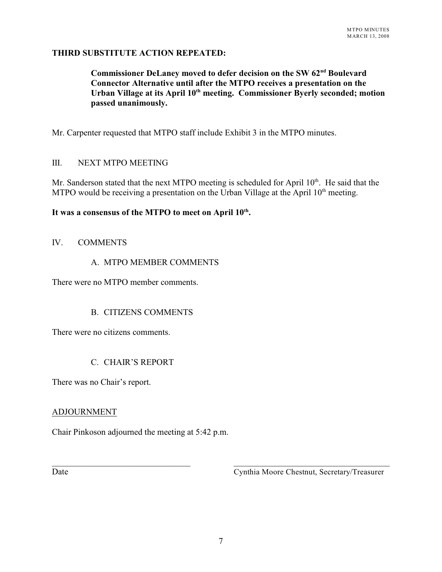# **THIRD SUBSTITUTE ACTION REPEATED:**

Commissioner DeLaney moved to defer decision on the SW 62<sup>nd</sup> Boulevard **Connector Alternative until after the MTPO receives a presentation on the** Urban Village at its April 10<sup>th</sup> meeting. Commissioner Byerly seconded; motion **passed unanimously.**

Mr. Carpenter requested that MTPO staff include Exhibit 3 in the MTPO minutes.

# III. NEXT MTPO MEETING

Mr. Sanderson stated that the next MTPO meeting is scheduled for April  $10<sup>th</sup>$ . He said that the MTPO would be receiving a presentation on the Urban Village at the April  $10<sup>th</sup>$  meeting.

# It was a consensus of the MTPO to meet on April  $10^{\text{th}}$ .

# IV. COMMENTS

# A. MTPO MEMBER COMMENTS

There were no MTPO member comments.

# B. CITIZENS COMMENTS

There were no citizens comments.

# C. CHAIR'S REPORT

There was no Chair's report.

# ADJOURNMENT

Chair Pinkoson adjourned the meeting at 5:42 p.m.

Date Cynthia Moore Chestnut, Secretary/Treasurer

\_\_\_\_\_\_\_\_\_\_\_\_\_\_\_\_\_\_\_\_\_\_\_\_\_\_\_\_\_\_\_\_ \_\_\_\_\_\_\_\_\_\_\_\_\_\_\_\_\_\_\_\_\_\_\_\_\_\_\_\_\_\_\_\_\_\_\_\_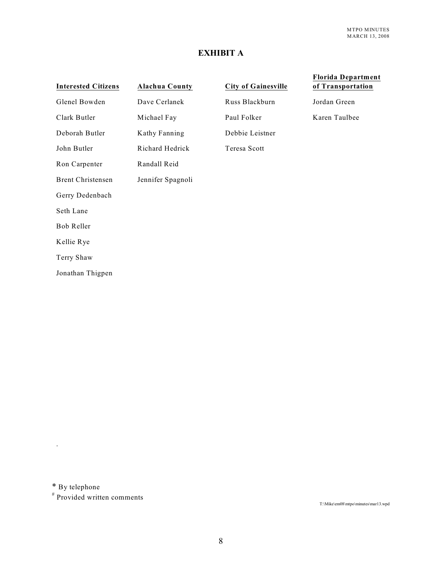# **EXHIBIT A**

| <b>Interested Citizens</b> | <b>Alachua County</b> | <b>City of Gainesville</b> | <b>Florida Department</b><br>of Transportation |
|----------------------------|-----------------------|----------------------------|------------------------------------------------|
| Glenel Bowden              | Dave Cerlanek         | Russ Blackburn             | Jordan Green                                   |
| Clark Butler               | Michael Fay           | Paul Folker                | Karen Taulbee                                  |
| Deborah Butler             | Kathy Fanning         | Debbie Leistner            |                                                |
| John Butler                | Richard Hedrick       | Teresa Scott               |                                                |
| Ron Carpenter              | Randall Reid          |                            |                                                |
| <b>Brent Christensen</b>   | Jennifer Spagnoli     |                            |                                                |
| Gerry Dedenbach            |                       |                            |                                                |
| Seth Lane                  |                       |                            |                                                |
| Bob Reller                 |                       |                            |                                                |
| Kellie Rye                 |                       |                            |                                                |
| Terry Shaw                 |                       |                            |                                                |
| Jonathan Thigpen           |                       |                            |                                                |

\* By telephone

.

# Provided written comments

T:\Mike\em08\mtpo\minutes\mar13.wpd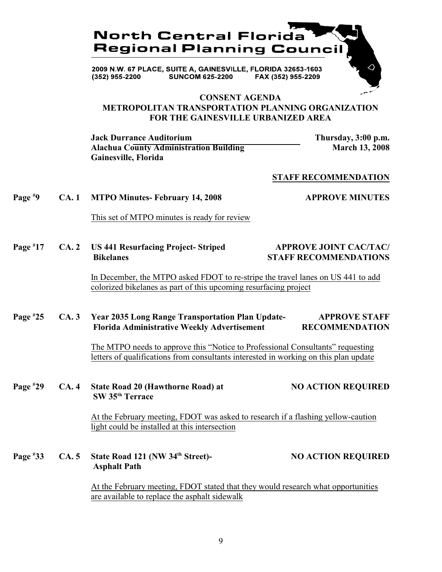

2009 N.W. 67 PLACE, SUITE A, GAINESVILLE, FLORIDA 32653-1603  $(352)$  955-2200 **SUNCOM 625-2200** FAX (352) 955-2209

# **CONSENT AGENDA METROPOLITAN TRANSPORTATION PLANNING ORGANIZATION FOR THE GAINESVILLE URBANIZED AREA**

**Jack Durrance Auditorium Thursday, 3:00 p.m.** Alachua County Administration Building<br>
March 13, 2008 **Gainesville, Florida**

### **STAFF RECOMMENDATION**

#### **Page**  $\overset{\ast}{P}9$  **CA. 1 MTPO Minutes- February 14, 2008 APPROVE MINUTES**

This set of MTPO minutes is ready for review

Page <sup>#</sup>17 CA. 2 US 441 Resurfacing Project- Striped **APPROVE JOINT CAC/TAC/ Bikelanes STAFF RECOMMENDATIONS**

> In December, the MTPO asked FDOT to re-stripe the travel lanes on US 441 to add colorized bikelanes as part of this upcoming resurfacing project

### **Page #25** CA. 3 Year 2035 Long Range Transportation Plan Update- APPROVE STAFF  **Florida Administrative Weekly Advertisement RECOMMENDATION**

The MTPO needs to approve this "Notice to Professional Consultants" requesting letters of qualifications from consultants interested in working on this plan update

**Page** #29 CA. 4 State Road 20 (Hawthorne Road) at **NO ACTION REQUIRED SW 35<sup>th</sup> Terrace** 

> At the February meeting, FDOT was asked to research if a flashing yellow-caution light could be installed at this intersection

**Page** #33 CA. 5 State Road 121 (NW 34<sup>th</sup> Street)- NO ACTION REQUIRED  **Asphalt Path**

> At the February meeting, FDOT stated that they would research what opportunities are available to replace the asphalt sidewalk